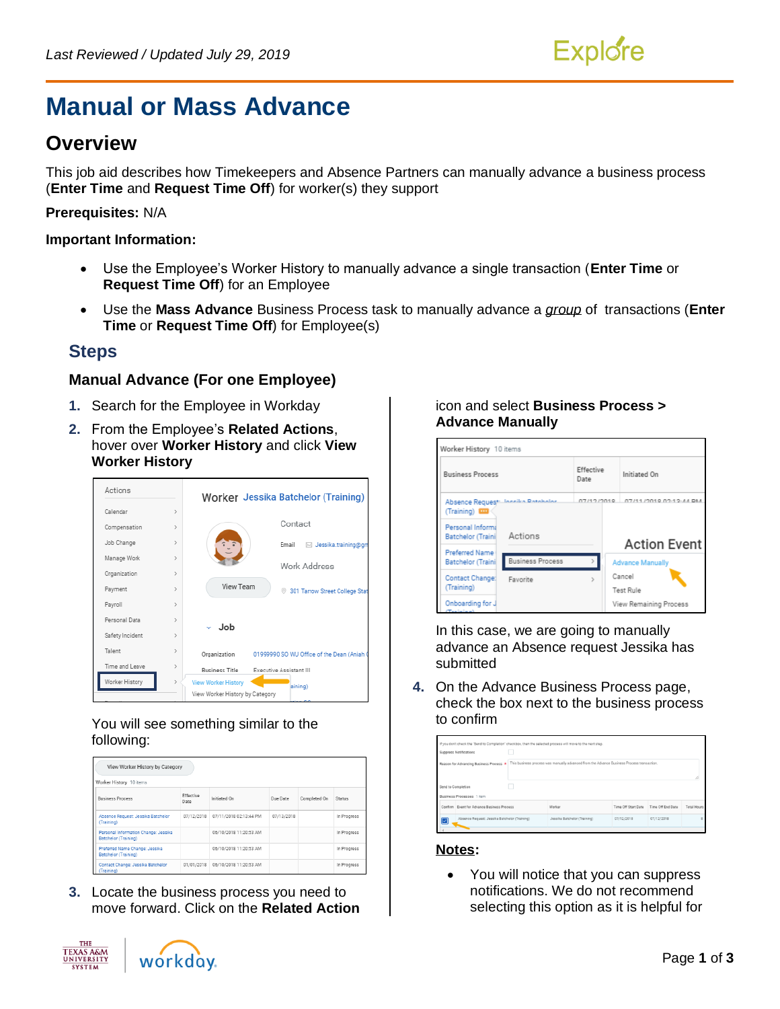

# **Manual or Mass Advance**

## **Overview**

This job aid describes how Timekeepers and Absence Partners can manually advance a business process (**Enter Time** and **Request Time Off**) for worker(s) they support

#### **Prerequisites:** N/A

#### **Important Information:**

- Use the Employee's Worker History to manually advance a single transaction (**Enter Time** or **Request Time Off**) for an Employee
- Use the **Mass Advance** Business Process task to manually advance a *group* of transactions (**Enter Time** or **Request Time Off**) for Employee(s)

### **Steps**

#### **Manual Advance (For one Employee)**

- **1.** Search for the Employee in Workday
- **2.** From the Employee's **Related Actions**, hover over **Worker History** and click **View Worker History**



#### You will see something similar to the following:

| View Worker History by Category                              |                   |                        |            |              |               |  |  |
|--------------------------------------------------------------|-------------------|------------------------|------------|--------------|---------------|--|--|
| Worker History 10 items                                      |                   |                        |            |              |               |  |  |
| <b>Business Process</b>                                      | Effective<br>Date | Initiated On           | Due Date   | Completed On | <b>Status</b> |  |  |
| Absence Request: Jessika Batchelor<br>(Training)             | 07/12/2018        | 07/11/2018 02:13:44 PM | 07/13/2018 |              | In Progress   |  |  |
| Personal Information Change: Jessika<br>Batchelor (Training) |                   | 06/10/2018 11:20:53 AM |            |              | In Progress   |  |  |
| Preferred Name Change: Jessika<br>Batchelor (Training)       |                   | 06/10/2018 11:20:53 AM |            |              | In Progress   |  |  |
| Contact Change: Jessika Batchelor<br>(Training)              | 01/01/2018        | 06/10/2018 11:20:53 AM |            |              | In Progress   |  |  |

**3.** Locate the business process you need to move forward. Click on the **Related Action**

#### icon and select **Business Process > Advance Manually**



In this case, we are going to manually advance an Absence request Jessika has submitted

**4.** On the Advance Business Process page, check the box next to the business process to confirm

| If you don't check the 'Send to Completion' checkbox, then the selected process will move to the next step.<br>Suppress Notifications |                              |                     |                   |                    |
|---------------------------------------------------------------------------------------------------------------------------------------|------------------------------|---------------------|-------------------|--------------------|
| Reason for Advancing Business Process * This business process was manually advanced from the Advance Business Process transaction.    |                              |                     |                   |                    |
| Send to Completion                                                                                                                    |                              |                     |                   |                    |
| <b>Business Processes</b> 1 item                                                                                                      |                              |                     |                   |                    |
| Confirm Event for Advance Business Process                                                                                            | Worker                       | Time Off Start Date | Time Off End Date | <b>Total Hours</b> |
| Absence Request: Jessika Batchelor (Training)<br>⊵                                                                                    | Jessika Batchelor (Training) | 07/12/2018          | 07/12/2018        | 8                  |

#### **Notes:**

• You will notice that you can suppress notifications. We do not recommend selecting this option as it is helpful for



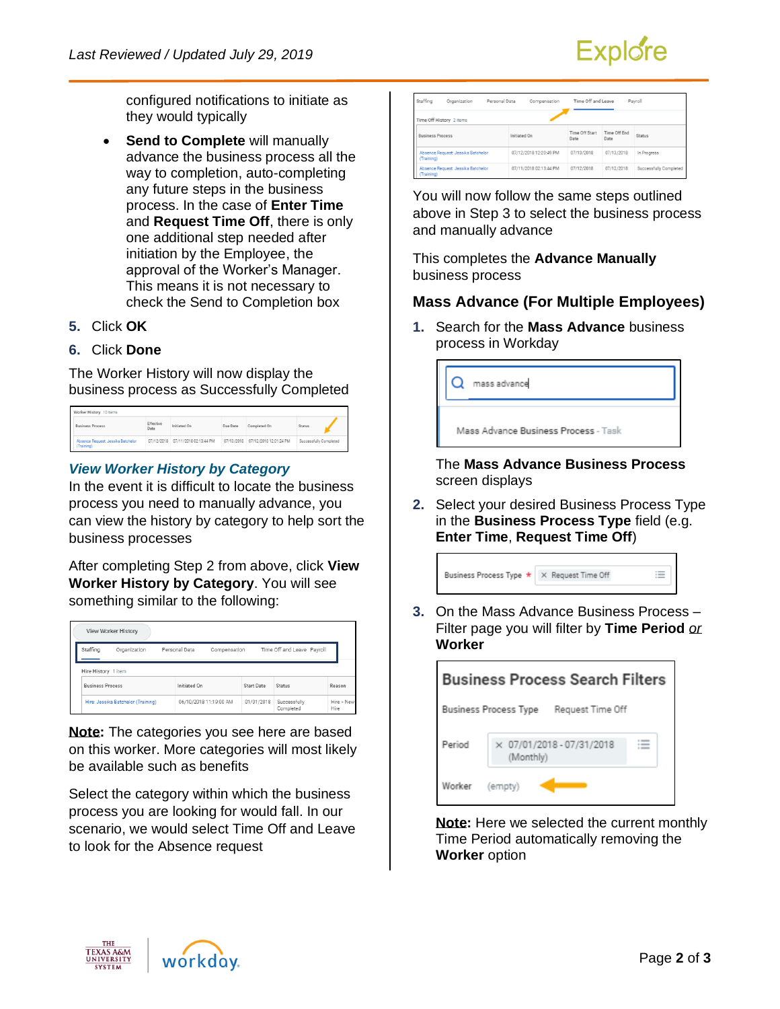

configured notifications to initiate as they would typically

- **Send to Complete** will manually advance the business process all the way to completion, auto-completing any future steps in the business process. In the case of **Enter Time** and **Request Time Off**, there is only one additional step needed after initiation by the Employee, the approval of the Worker's Manager. This means it is not necessary to check the Send to Completion box
- **5.** Click **OK**
- **6.** Click **Done**

The Worker History will now display the business process as Successfully Completed

| Worker History 10 items                          |                   |                                   |          |                                   |                        |  |
|--------------------------------------------------|-------------------|-----------------------------------|----------|-----------------------------------|------------------------|--|
| <b>Business Process</b>                          | Effective<br>Date | Initiated On                      | Due Date | Completed On                      | Status                 |  |
| Absence Request: Jessika Batchelor<br>(Training) |                   | 07/12/2018 07/11/2018 02:13:44 PM |          | 07/13/2018 07/12/2018 12:01:24 PM | Successfully Completed |  |

#### *View Worker History by Category*

In the event it is difficult to locate the business process you need to manually advance, you can view the history by category to help sort the business processes

After completing Step 2 from above, click **View Worker History by Category**. You will see something similar to the following:

| View Worker History     |                                                                                                    |              |                        |            |                           |                    |  |
|-------------------------|----------------------------------------------------------------------------------------------------|--------------|------------------------|------------|---------------------------|--------------------|--|
| Staffing                | Time Off and Leave Payroll<br>Personal Data<br>Organization<br>Compensation<br>Hire History 1 item |              |                        |            |                           |                    |  |
| <b>Business Process</b> |                                                                                                    | Initiated On |                        | Start Date | <b>Status</b>             | Reason             |  |
|                         | Hire: Jessika Batchelor (Training)                                                                 |              | 06/10/2018 11:19:00 AM | 01/01/2018 | Successfully<br>Completed | Hire > New<br>Hire |  |

**Note:** The categories you see here are based on this worker. More categories will most likely be available such as benefits

Select the category within which the business process you are looking for would fall. In our scenario, we would select Time Off and Leave to look for the Absence request

| Staffing                | Organization                       | Personal Data | Compensation           | Time Off and Leave     |                      | Pavroll                |
|-------------------------|------------------------------------|---------------|------------------------|------------------------|----------------------|------------------------|
|                         | Time Off History 2 items           |               |                        |                        |                      |                        |
| <b>Business Process</b> |                                    |               | Initiated On           | Time Off Start<br>Date | Time Off End<br>Date | <b>Status</b>          |
| (Training)              | Absence Request: Jessika Batchelor |               | 07/12/2018 12:20:49 PM | 07/13/2018             | 07/13/2018           | In Progress            |
| (Training)              | Absence Request: Jessika Batchelor |               | 07/11/2018 02:13:44 PM | 07/12/2018             | 07/12/2018           | Successfully Completed |

You will now follow the same steps outlined above in Step 3 to select the business process and manually advance

This completes the **Advance Manually** business process

#### **Mass Advance (For Multiple Employees)**

**1.** Search for the **Mass Advance** business process in Workday

| mass advance                         |  |
|--------------------------------------|--|
| Mass Advance Business Process - Task |  |

The **Mass Advance Business Process**  screen displays

**2.** Select your desired Business Process Type in the **Business Process Type** field (e.g. **Enter Time**, **Request Time Off**)

| Business Process Type * X Request Time Off | $\equiv$ |
|--------------------------------------------|----------|
|                                            |          |

**3.** On the Mass Advance Business Process – Filter page you will filter by **Time Period** *or* **Worker**

| <b>Business Process Search Filters</b> |                                                  |  |  |  |  |  |
|----------------------------------------|--------------------------------------------------|--|--|--|--|--|
|                                        | <b>Business Process Type</b><br>Request Time Off |  |  |  |  |  |
| Period                                 | × 07/01/2018 - 07/31/2018<br>(Monthly)           |  |  |  |  |  |
| Worker                                 | (empty)                                          |  |  |  |  |  |

**Note:** Here we selected the current monthly Time Period automatically removing the **Worker** option